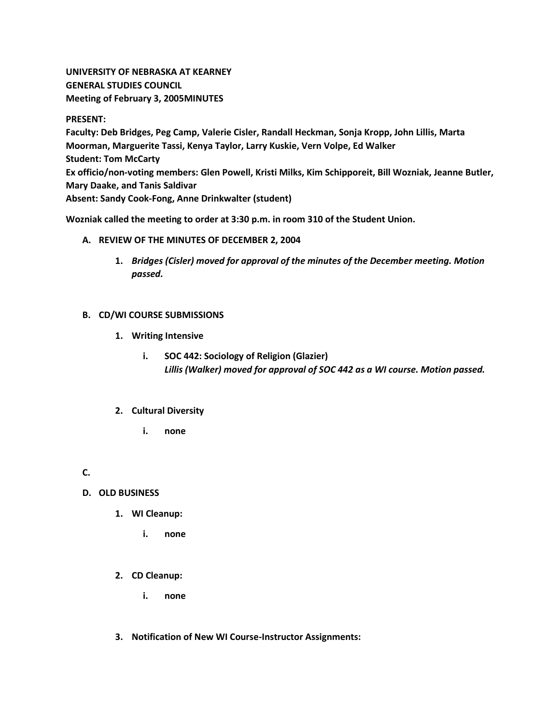**UNIVERSITY OF NEBRASKA AT KEARNEY GENERAL STUDIES COUNCIL Meeting of February 3, 2005MINUTES**

#### **PRESENT:**

**Faculty: Deb Bridges, Peg Camp, Valerie Cisler, Randall Heckman, Sonja Kropp, John Lillis, Marta Moorman, Marguerite Tassi, Kenya Taylor, Larry Kuskie, Vern Volpe, Ed Walker Student: Tom McCarty Ex officio/non-voting members: Glen Powell, Kristi Milks, Kim Schipporeit, Bill Wozniak, Jeanne Butler, Mary Daake, and Tanis Saldivar Absent: Sandy Cook-Fong, Anne Drinkwalter (student)**

**Wozniak called the meeting to order at 3:30 p.m. in room 310 of the Student Union.**

#### **A. REVIEW OF THE MINUTES OF DECEMBER 2, 2004**

**1.** *Bridges (Cisler) moved for approval of the minutes of the December meeting. Motion passed.*

## **B. CD/WI COURSE SUBMISSIONS**

- **1. Writing Intensive** 
	- **i. SOC 442: Sociology of Religion (Glazier)** *Lillis (Walker) moved for approval of SOC 442 as a WI course. Motion passed.*

## **2. Cultural Diversity**

**i. none**

## **C.**

## **D. OLD BUSINESS**

- **1. WI Cleanup:** 
	- **i. none**

## **2. CD Cleanup:**

- **i. none**
- **3. Notification of New WI Course-Instructor Assignments:**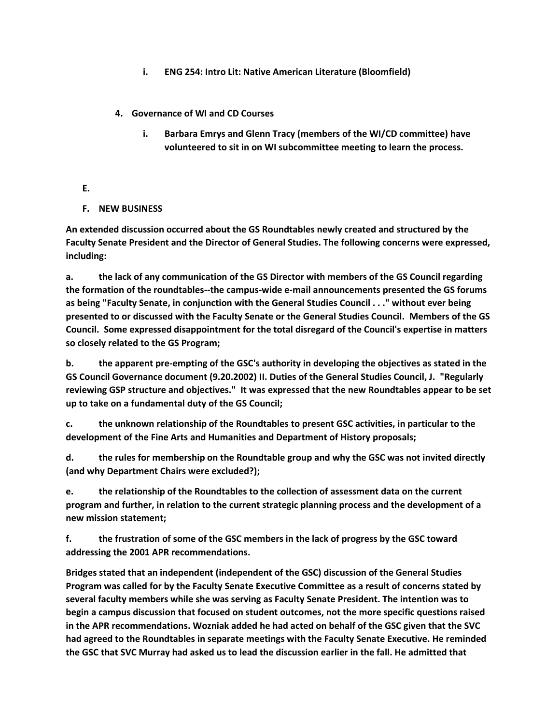- **i. ENG 254: Intro Lit: Native American Literature (Bloomfield)**
- **4. Governance of WI and CD Courses** 
	- **i. Barbara Emrys and Glenn Tracy (members of the WI/CD committee) have volunteered to sit in on WI subcommittee meeting to learn the process.**
- **E.**
- **F. NEW BUSINESS**

**An extended discussion occurred about the GS Roundtables newly created and structured by the Faculty Senate President and the Director of General Studies. The following concerns were expressed, including:**

**a. the lack of any communication of the GS Director with members of the GS Council regarding the formation of the roundtables--the campus-wide e-mail announcements presented the GS forums as being "Faculty Senate, in conjunction with the General Studies Council . . ." without ever being presented to or discussed with the Faculty Senate or the General Studies Council. Members of the GS Council. Some expressed disappointment for the total disregard of the Council's expertise in matters so closely related to the GS Program;**

**b. the apparent pre-empting of the GSC's authority in developing the objectives as stated in the GS Council Governance document (9.20.2002) II. Duties of the General Studies Council, J. "Regularly reviewing GSP structure and objectives." It was expressed that the new Roundtables appear to be set up to take on a fundamental duty of the GS Council;**

**c. the unknown relationship of the Roundtables to present GSC activities, in particular to the development of the Fine Arts and Humanities and Department of History proposals;**

**d. the rules for membership on the Roundtable group and why the GSC was not invited directly (and why Department Chairs were excluded?);**

**e. the relationship of the Roundtables to the collection of assessment data on the current program and further, in relation to the current strategic planning process and the development of a new mission statement;**

**f. the frustration of some of the GSC members in the lack of progress by the GSC toward addressing the 2001 APR recommendations.**

**Bridges stated that an independent (independent of the GSC) discussion of the General Studies Program was called for by the Faculty Senate Executive Committee as a result of concerns stated by several faculty members while she was serving as Faculty Senate President. The intention was to begin a campus discussion that focused on student outcomes, not the more specific questions raised in the APR recommendations. Wozniak added he had acted on behalf of the GSC given that the SVC had agreed to the Roundtables in separate meetings with the Faculty Senate Executive. He reminded the GSC that SVC Murray had asked us to lead the discussion earlier in the fall. He admitted that**